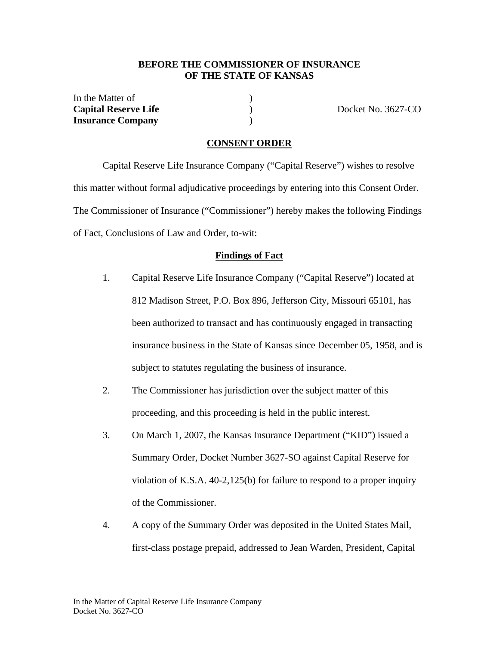### **BEFORE THE COMMISSIONER OF INSURANCE OF THE STATE OF KANSAS**

In the Matter of (1) **Capital Reserve Life** ) Docket No. 3627-CO **Insurance Company** )

#### **CONSENT ORDER**

 Capital Reserve Life Insurance Company ("Capital Reserve") wishes to resolve this matter without formal adjudicative proceedings by entering into this Consent Order. The Commissioner of Insurance ("Commissioner") hereby makes the following Findings of Fact, Conclusions of Law and Order, to-wit:

#### **Findings of Fact**

- 1. Capital Reserve Life Insurance Company ("Capital Reserve") located at 812 Madison Street, P.O. Box 896, Jefferson City, Missouri 65101, has been authorized to transact and has continuously engaged in transacting insurance business in the State of Kansas since December 05, 1958, and is subject to statutes regulating the business of insurance.
- 2. The Commissioner has jurisdiction over the subject matter of this proceeding, and this proceeding is held in the public interest.
- 3. On March 1, 2007, the Kansas Insurance Department ("KID") issued a Summary Order, Docket Number 3627-SO against Capital Reserve for violation of K.S.A. 40-2,125(b) for failure to respond to a proper inquiry of the Commissioner.
- 4. A copy of the Summary Order was deposited in the United States Mail, first-class postage prepaid, addressed to Jean Warden, President, Capital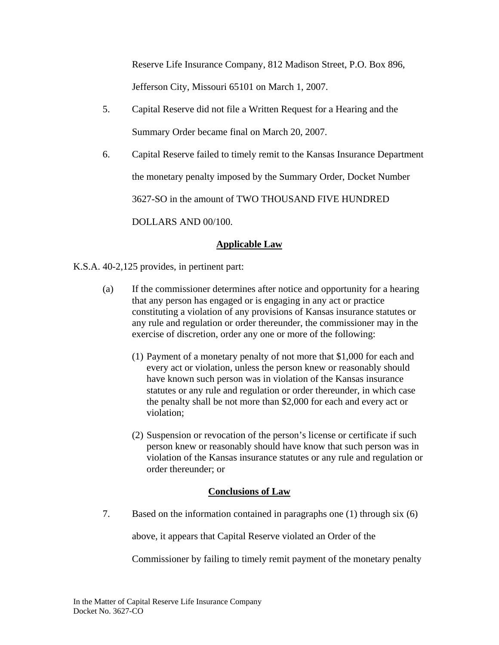Reserve Life Insurance Company, 812 Madison Street, P.O. Box 896, Jefferson City, Missouri 65101 on March 1, 2007.

- 5. Capital Reserve did not file a Written Request for a Hearing and the Summary Order became final on March 20, 2007.
- 6. Capital Reserve failed to timely remit to the Kansas Insurance Department the monetary penalty imposed by the Summary Order, Docket Number 3627-SO in the amount of TWO THOUSAND FIVE HUNDRED

DOLLARS AND 00/100.

# **Applicable Law**

K.S.A. 40-2,125 provides, in pertinent part:

- (a) If the commissioner determines after notice and opportunity for a hearing that any person has engaged or is engaging in any act or practice constituting a violation of any provisions of Kansas insurance statutes or any rule and regulation or order thereunder, the commissioner may in the exercise of discretion, order any one or more of the following:
	- (1) Payment of a monetary penalty of not more that \$1,000 for each and every act or violation, unless the person knew or reasonably should have known such person was in violation of the Kansas insurance statutes or any rule and regulation or order thereunder, in which case the penalty shall be not more than \$2,000 for each and every act or violation;
	- (2) Suspension or revocation of the person's license or certificate if such person knew or reasonably should have know that such person was in violation of the Kansas insurance statutes or any rule and regulation or order thereunder; or

# **Conclusions of Law**

7. Based on the information contained in paragraphs one (1) through six (6)

above, it appears that Capital Reserve violated an Order of the

Commissioner by failing to timely remit payment of the monetary penalty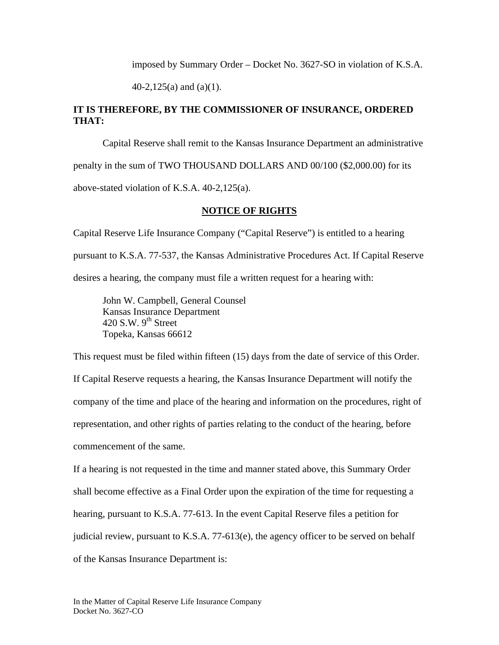imposed by Summary Order – Docket No. 3627-SO in violation of K.S.A.

40-2,125(a) and (a)(1).

### **IT IS THEREFORE, BY THE COMMISSIONER OF INSURANCE, ORDERED THAT:**

Capital Reserve shall remit to the Kansas Insurance Department an administrative penalty in the sum of TWO THOUSAND DOLLARS AND 00/100 (\$2,000.00) for its above-stated violation of K.S.A. 40-2,125(a).

### **NOTICE OF RIGHTS**

Capital Reserve Life Insurance Company ("Capital Reserve") is entitled to a hearing pursuant to K.S.A. 77-537, the Kansas Administrative Procedures Act. If Capital Reserve desires a hearing, the company must file a written request for a hearing with:

 John W. Campbell, General Counsel Kansas Insurance Department 420 S.W.  $9^{th}$  Street Topeka, Kansas 66612

This request must be filed within fifteen (15) days from the date of service of this Order. If Capital Reserve requests a hearing, the Kansas Insurance Department will notify the company of the time and place of the hearing and information on the procedures, right of representation, and other rights of parties relating to the conduct of the hearing, before commencement of the same.

If a hearing is not requested in the time and manner stated above, this Summary Order shall become effective as a Final Order upon the expiration of the time for requesting a hearing, pursuant to K.S.A. 77-613. In the event Capital Reserve files a petition for judicial review, pursuant to K.S.A. 77-613(e), the agency officer to be served on behalf of the Kansas Insurance Department is: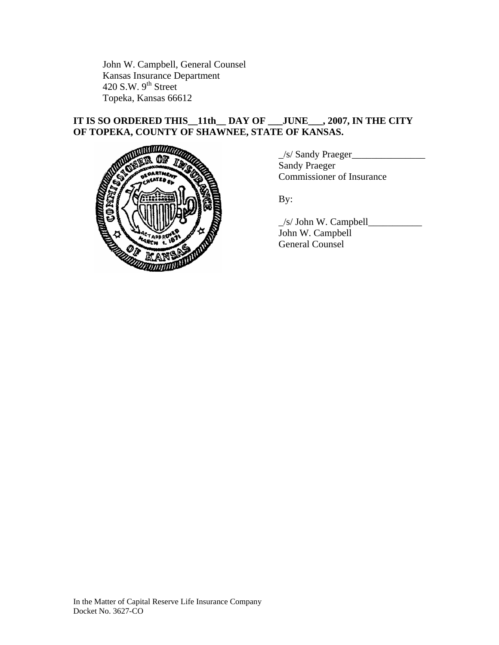John W. Campbell, General Counsel Kansas Insurance Department 420 S.W.  $9<sup>th</sup>$  Street Topeka, Kansas 66612

# **IT IS SO ORDERED THIS\_\_11th\_\_ DAY OF \_\_\_JUNE\_\_\_, 2007, IN THE CITY OF TOPEKA, COUNTY OF SHAWNEE, STATE OF KANSAS.**



\_/s/ Sandy Praeger\_\_\_\_\_\_\_\_\_\_\_\_\_\_\_ Sandy Praeger Commissioner of Insurance

\_/s/ John W. Campbell\_\_\_\_\_\_\_\_\_\_\_ John W. Campbell General Counsel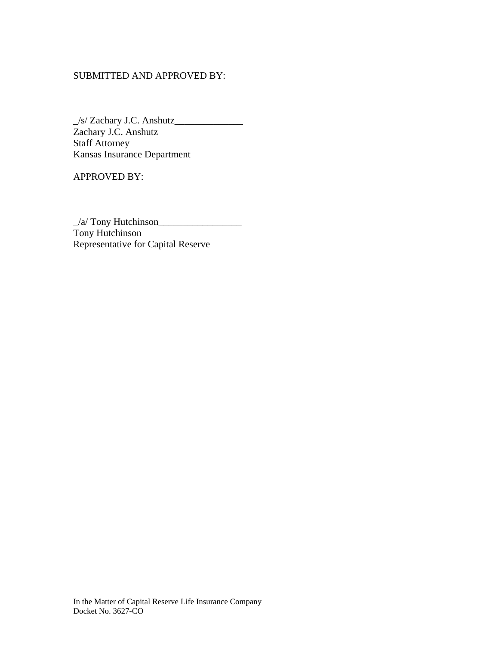### SUBMITTED AND APPROVED BY:

\_/s/ Zachary J.C. Anshutz\_\_\_\_\_\_\_\_\_\_\_\_\_\_ Zachary J.C. Anshutz Staff Attorney Kansas Insurance Department

APPROVED BY:

\_/a/ Tony Hutchinson\_\_\_\_\_\_\_\_\_\_\_\_\_\_\_\_\_ Tony Hutchinson Representative for Capital Reserve